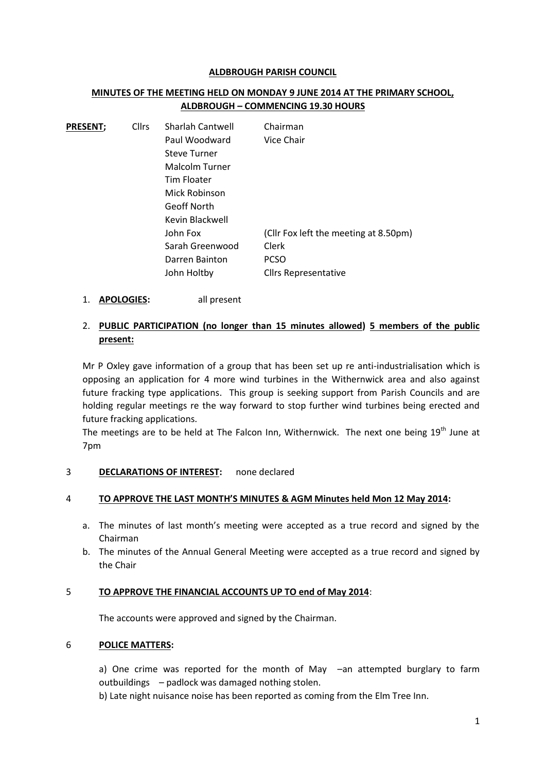#### **ALDBROUGH PARISH COUNCIL**

## **MINUTES OF THE MEETING HELD ON MONDAY 9 JUNE 2014 AT THE PRIMARY SCHOOL, ALDBROUGH – COMMENCING 19.30 HOURS**

| <b>PRESENT:</b> | <b>Cllrs</b> | <b>Sharlah Cantwell</b> | Chairman                              |
|-----------------|--------------|-------------------------|---------------------------------------|
|                 |              | Paul Woodward           | Vice Chair                            |
|                 |              | <b>Steve Turner</b>     |                                       |
|                 |              | Malcolm Turner          |                                       |
|                 |              | Tim Floater             |                                       |
|                 |              | Mick Robinson           |                                       |
|                 |              | Geoff North             |                                       |
|                 |              | Kevin Blackwell         |                                       |
|                 |              | John Fox                | (Cllr Fox left the meeting at 8.50pm) |
|                 |              | Sarah Greenwood         | Clerk                                 |
|                 |              | Darren Bainton          | <b>PCSO</b>                           |
|                 |              | John Holtby             | <b>Clirs Representative</b>           |

1. **APOLOGIES:** all present

# 2. **PUBLIC PARTICIPATION (no longer than 15 minutes allowed) 5 members of the public present:**

Mr P Oxley gave information of a group that has been set up re anti-industrialisation which is opposing an application for 4 more wind turbines in the Withernwick area and also against future fracking type applications. This group is seeking support from Parish Councils and are holding regular meetings re the way forward to stop further wind turbines being erected and future fracking applications.

The meetings are to be held at The Falcon Inn, Withernwick. The next one being  $19<sup>th</sup>$  June at 7pm

### 3 **DECLARATIONS OF INTEREST:** none declared

### 4 **TO APPROVE THE LAST MONTH'S MINUTES & AGM Minutes held Mon 12 May 2014:**

- a. The minutes of last month's meeting were accepted as a true record and signed by the Chairman
- b. The minutes of the Annual General Meeting were accepted as a true record and signed by the Chair

#### 5 **TO APPROVE THE FINANCIAL ACCOUNTS UP TO end of May 2014**:

The accounts were approved and signed by the Chairman.

### 6 **POLICE MATTERS:**

a) One crime was reported for the month of May –an attempted burglary to farm outbuildings – padlock was damaged nothing stolen.

b) Late night nuisance noise has been reported as coming from the Elm Tree Inn.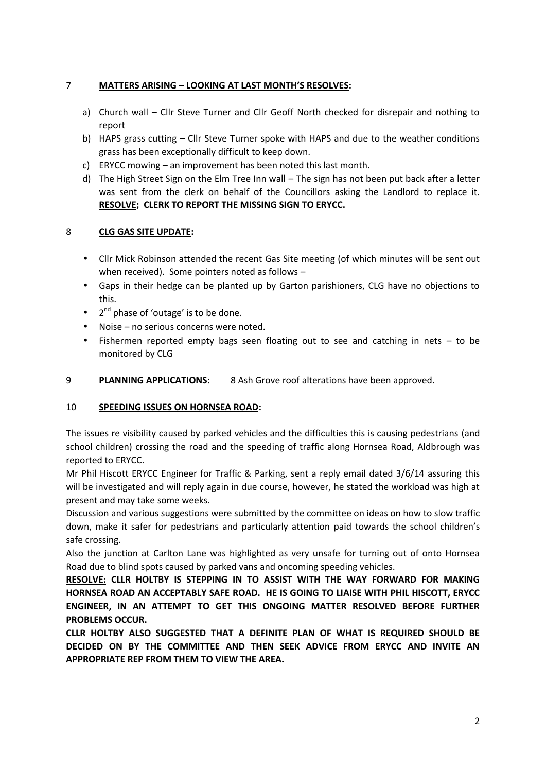# 7 **MATTERS ARISING – LOOKING AT LAST MONTH'S RESOLVES:**

- a) Church wall Cllr Steve Turner and Cllr Geoff North checked for disrepair and nothing to report
- b) HAPS grass cutting Cllr Steve Turner spoke with HAPS and due to the weather conditions grass has been exceptionally difficult to keep down.
- c) ERYCC mowing an improvement has been noted this last month.
- d) The High Street Sign on the Elm Tree Inn wall The sign has not been put back after a letter was sent from the clerk on behalf of the Councillors asking the Landlord to replace it. **RESOLVE; CLERK TO REPORT THE MISSING SIGN TO ERYCC.**

## 8 **CLG GAS SITE UPDATE:**

- Cllr Mick Robinson attended the recent Gas Site meeting (of which minutes will be sent out when received). Some pointers noted as follows –
- Gaps in their hedge can be planted up by Garton parishioners, CLG have no objections to this.
- 2<sup>nd</sup> phase of 'outage' is to be done.
- Noise no serious concerns were noted.
- Fishermen reported empty bags seen floating out to see and catching in nets to be monitored by CLG
- 9 **PLANNING APPLICATIONS:** 8 Ash Grove roof alterations have been approved.

## 10 **SPEEDING ISSUES ON HORNSEA ROAD:**

The issues re visibility caused by parked vehicles and the difficulties this is causing pedestrians (and school children) crossing the road and the speeding of traffic along Hornsea Road, Aldbrough was reported to ERYCC.

Mr Phil Hiscott ERYCC Engineer for Traffic & Parking, sent a reply email dated 3/6/14 assuring this will be investigated and will reply again in due course, however, he stated the workload was high at present and may take some weeks.

Discussion and various suggestions were submitted by the committee on ideas on how to slow traffic down, make it safer for pedestrians and particularly attention paid towards the school children's safe crossing.

Also the junction at Carlton Lane was highlighted as very unsafe for turning out of onto Hornsea Road due to blind spots caused by parked vans and oncoming speeding vehicles.

**RESOLVE: CLLR HOLTBY IS STEPPING IN TO ASSIST WITH THE WAY FORWARD FOR MAKING HORNSEA ROAD AN ACCEPTABLY SAFE ROAD. HE IS GOING TO LIAISE WITH PHIL HISCOTT, ERYCC ENGINEER, IN AN ATTEMPT TO GET THIS ONGOING MATTER RESOLVED BEFORE FURTHER PROBLEMS OCCUR.**

**CLLR HOLTBY ALSO SUGGESTED THAT A DEFINITE PLAN OF WHAT IS REQUIRED SHOULD BE DECIDED ON BY THE COMMITTEE AND THEN SEEK ADVICE FROM ERYCC AND INVITE AN APPROPRIATE REP FROM THEM TO VIEW THE AREA.**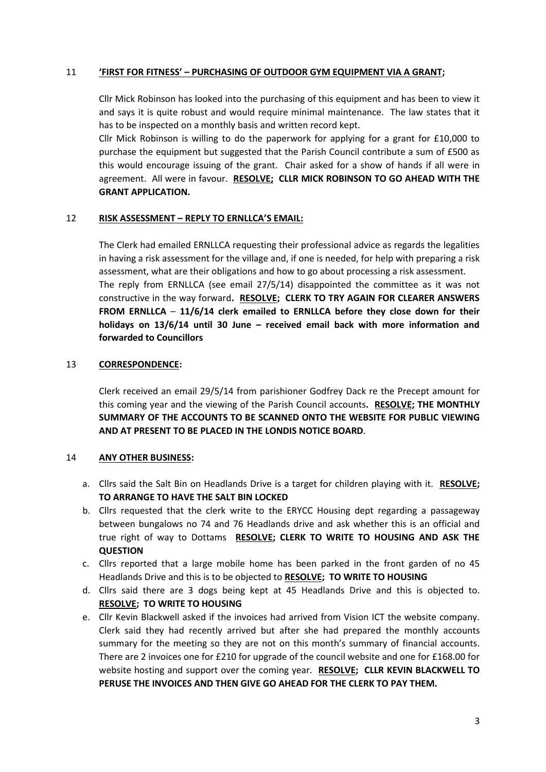### 11 **'FIRST FOR FITNESS' – PURCHASING OF OUTDOOR GYM EQUIPMENT VIA A GRANT;**

Cllr Mick Robinson has looked into the purchasing of this equipment and has been to view it and says it is quite robust and would require minimal maintenance. The law states that it has to be inspected on a monthly basis and written record kept.

Cllr Mick Robinson is willing to do the paperwork for applying for a grant for £10,000 to purchase the equipment but suggested that the Parish Council contribute a sum of £500 as this would encourage issuing of the grant. Chair asked for a show of hands if all were in agreement. All were in favour. **RESOLVE; CLLR MICK ROBINSON TO GO AHEAD WITH THE GRANT APPLICATION.**

#### 12 **RISK ASSESSMENT – REPLY TO ERNLLCA'S EMAIL:**

The Clerk had emailed ERNLLCA requesting their professional advice as regards the legalities in having a risk assessment for the village and, if one is needed, for help with preparing a risk assessment, what are their obligations and how to go about processing a risk assessment. The reply from ERNLLCA (see email 27/5/14) disappointed the committee as it was not constructive in the way forward**. RESOLVE; CLERK TO TRY AGAIN FOR CLEARER ANSWERS FROM ERNLLCA** – **11/6/14 clerk emailed to ERNLLCA before they close down for their holidays on 13/6/14 until 30 June – received email back with more information and forwarded to Councillors**

#### 13 **CORRESPONDENCE:**

Clerk received an email 29/5/14 from parishioner Godfrey Dack re the Precept amount for this coming year and the viewing of the Parish Council accounts**. RESOLVE; THE MONTHLY SUMMARY OF THE ACCOUNTS TO BE SCANNED ONTO THE WEBSITE FOR PUBLIC VIEWING AND AT PRESENT TO BE PLACED IN THE LONDIS NOTICE BOARD**.

#### 14 **ANY OTHER BUSINESS:**

- a. Cllrs said the Salt Bin on Headlands Drive is a target for children playing with it. **RESOLVE; TO ARRANGE TO HAVE THE SALT BIN LOCKED**
- b. Cllrs requested that the clerk write to the ERYCC Housing dept regarding a passageway between bungalows no 74 and 76 Headlands drive and ask whether this is an official and true right of way to Dottams **RESOLVE; CLERK TO WRITE TO HOUSING AND ASK THE QUESTION**
- c. Cllrs reported that a large mobile home has been parked in the front garden of no 45 Headlands Drive and this is to be objected to **RESOLVE; TO WRITE TO HOUSING**
- d. Cllrs said there are 3 dogs being kept at 45 Headlands Drive and this is objected to. **RESOLVE; TO WRITE TO HOUSING**
- e. Cllr Kevin Blackwell asked if the invoices had arrived from Vision ICT the website company. Clerk said they had recently arrived but after she had prepared the monthly accounts summary for the meeting so they are not on this month's summary of financial accounts. There are 2 invoices one for £210 for upgrade of the council website and one for £168.00 for website hosting and support over the coming year. **RESOLVE; CLLR KEVIN BLACKWELL TO PERUSE THE INVOICES AND THEN GIVE GO AHEAD FOR THE CLERK TO PAY THEM.**